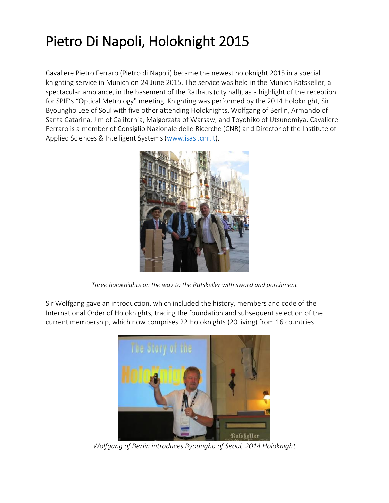## Pietro Di Napoli, Holoknight 2015

Cavaliere Pietro Ferraro (Pietro di Napoli) became the newest holoknight 2015 in a special knighting service in Munich on 24 June 2015. The service was held in the Munich Ratskeller, a spectacular ambiance, in the basement of the Rathaus (city hall), as a highlight of the reception for SPIE's "Optical Metrology" meeting. Knighting was performed by the 2014 Holoknight, Sir Byoungho Lee of Soul with five other attending Holoknights, Wolfgang of Berlin, Armando of Santa Catarina, Jim of California, Malgorzata of Warsaw, and Toyohiko of Utsunomiya. Cavaliere Ferraro is a member of Consiglio Nazionale delle Ricerche (CNR) and Director of the Institute of Applied Sciences & Intelligent Systems [\(www.isasi.cnr.it\)](http://www.isasi.cnr.it/).



*Three holoknights on the way to the Ratskeller with sword and parchment*

Sir Wolfgang gave an introduction, which included the history, members and code of the International Order of Holoknights, tracing the foundation and subsequent selection of the current membership, which now comprises 22 Holoknights (20 living) from 16 countries.



*Wolfgang of Berlin introduces Byoungho of Seoul, 2014 Holoknight*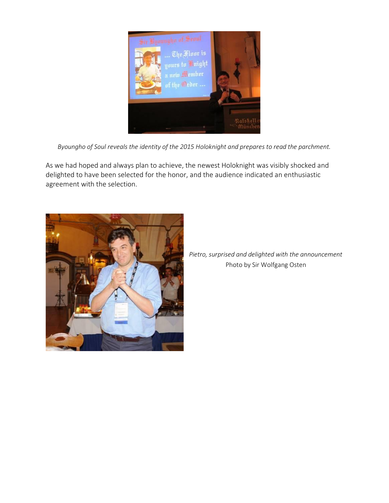

*Byoungho of Soul reveals the identity of the 2015 Holoknight and prepares to read the parchment.*

As we had hoped and always plan to achieve, the newest Holoknight was visibly shocked and delighted to have been selected for the honor, and the audience indicated an enthusiastic agreement with the selection.



*Pietro, surprised and delighted with the announcement* Photo by Sir Wolfgang Osten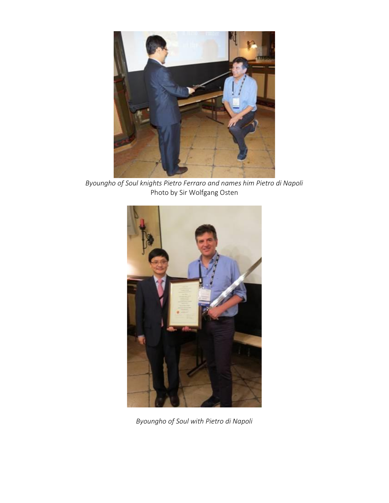

*Byoungho of Soul knights Pietro Ferraro and names him Pietro di Napoli* Photo by Sir Wolfgang Osten



*Byoungho of Soul with Pietro di Napoli*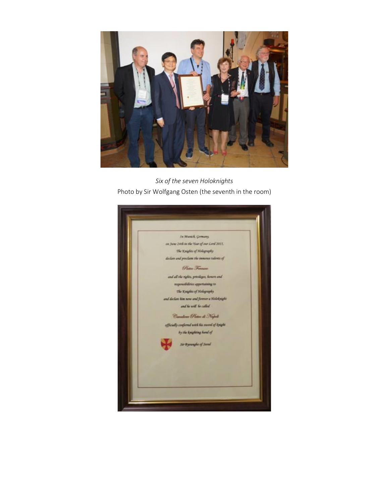

*Six of the seven Holoknights* Photo by Sir Wolfgang Osten (the seventh in the room)

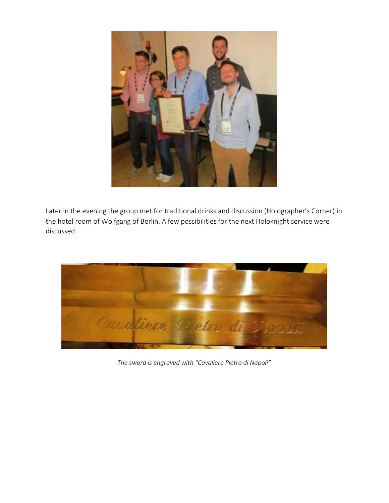

Later in the evening the group met for traditional drinks and discussion (Holographer's Corner) in the hotel room of Wolfgang of Berlin. A few possibilities for the next Holoknight service were discussed.



*The sword is engraved with "Cavaliere Pietro di Napoli"*